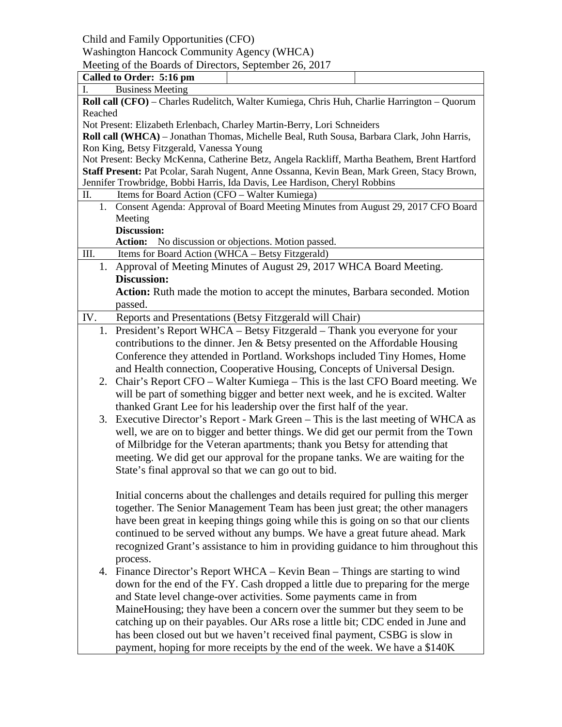Child and Family Opportunities (CFO)

## Washington Hancock Community Agency (WHCA)

Meeting of the Boards of Directors, September 26, 2017

| Called to Order: 5:16 pm                                                                    |  |  |  |
|---------------------------------------------------------------------------------------------|--|--|--|
| <b>Business Meeting</b><br>I.                                                               |  |  |  |
| Roll call (CFO) - Charles Rudelitch, Walter Kumiega, Chris Huh, Charlie Harrington - Quorum |  |  |  |
| Reached                                                                                     |  |  |  |
| Not Present: Elizabeth Erlenbach, Charley Martin-Berry, Lori Schneiders                     |  |  |  |
| Roll call (WHCA) - Jonathan Thomas, Michelle Beal, Ruth Sousa, Barbara Clark, John Harris,  |  |  |  |
| Ron King, Betsy Fitzgerald, Vanessa Young                                                   |  |  |  |
| Not Present: Becky McKenna, Catherine Betz, Angela Rackliff, Martha Beathem, Brent Hartford |  |  |  |
| Staff Present: Pat Pcolar, Sarah Nugent, Anne Ossanna, Kevin Bean, Mark Green, Stacy Brown, |  |  |  |
| Jennifer Trowbridge, Bobbi Harris, Ida Davis, Lee Hardison, Cheryl Robbins                  |  |  |  |
| Π.<br>Items for Board Action (CFO - Walter Kumiega)                                         |  |  |  |
| 1. Consent Agenda: Approval of Board Meeting Minutes from August 29, 2017 CFO Board         |  |  |  |
| Meeting<br><b>Discussion:</b>                                                               |  |  |  |
| <b>Action:</b><br>No discussion or objections. Motion passed.                               |  |  |  |
| Items for Board Action (WHCA - Betsy Fitzgerald)<br>III.                                    |  |  |  |
| 1. Approval of Meeting Minutes of August 29, 2017 WHCA Board Meeting.                       |  |  |  |
| <b>Discussion:</b>                                                                          |  |  |  |
|                                                                                             |  |  |  |
| Action: Ruth made the motion to accept the minutes, Barbara seconded. Motion<br>passed.     |  |  |  |
|                                                                                             |  |  |  |
| Reports and Presentations (Betsy Fitzgerald will Chair)<br>IV.                              |  |  |  |
| 1. President's Report WHCA – Betsy Fitzgerald – Thank you everyone for your                 |  |  |  |
| contributions to the dinner. Jen $\&$ Betsy presented on the Affordable Housing             |  |  |  |
| Conference they attended in Portland. Workshops included Tiny Homes, Home                   |  |  |  |
| and Health connection, Cooperative Housing, Concepts of Universal Design.                   |  |  |  |
| Chair's Report CFO - Walter Kumiega - This is the last CFO Board meeting. We<br>2.          |  |  |  |
| will be part of something bigger and better next week, and he is excited. Walter            |  |  |  |
| thanked Grant Lee for his leadership over the first half of the year.                       |  |  |  |
| Executive Director's Report - Mark Green - This is the last meeting of WHCA as<br>3.        |  |  |  |
| well, we are on to bigger and better things. We did get our permit from the Town            |  |  |  |
| of Milbridge for the Veteran apartments; thank you Betsy for attending that                 |  |  |  |
| meeting. We did get our approval for the propane tanks. We are waiting for the              |  |  |  |
| State's final approval so that we can go out to bid.                                        |  |  |  |
|                                                                                             |  |  |  |
| Initial concerns about the challenges and details required for pulling this merger          |  |  |  |
| together. The Senior Management Team has been just great; the other managers                |  |  |  |
| have been great in keeping things going while this is going on so that our clients          |  |  |  |
| continued to be served without any bumps. We have a great future ahead. Mark                |  |  |  |
| recognized Grant's assistance to him in providing guidance to him throughout this           |  |  |  |
| process.                                                                                    |  |  |  |
| 4. Finance Director's Report WHCA – Kevin Bean – Things are starting to wind                |  |  |  |
| down for the end of the FY. Cash dropped a little due to preparing for the merge            |  |  |  |
| and State level change-over activities. Some payments came in from                          |  |  |  |
| Maine Housing; they have been a concern over the summer but they seem to be                 |  |  |  |
| catching up on their payables. Our ARs rose a little bit; CDC ended in June and             |  |  |  |
| has been closed out but we haven't received final payment, CSBG is slow in                  |  |  |  |
| payment, hoping for more receipts by the end of the week. We have a \$140K                  |  |  |  |